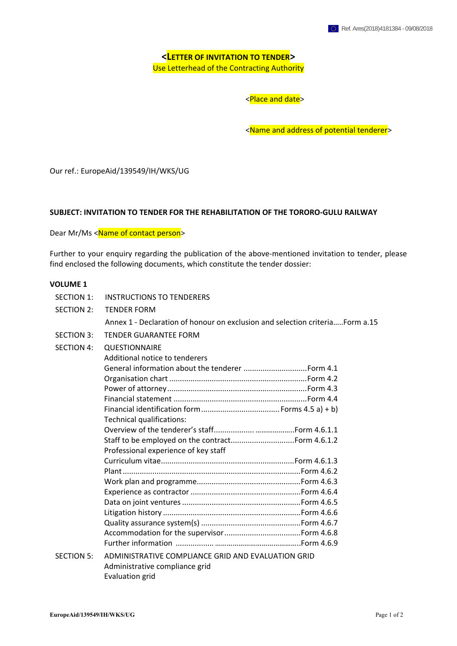**<LETTER OF INVITATION TO TENDER>**  Use Letterhead of the Contracting Authority

<Place and date>

<Name and address of potential tenderer>

Our ref.: EuropeAid/139549/IH/WKS/UG

## **SUBJECT: INVITATION TO TENDER FOR THE REHABILITATION OF THE TORORO-GULU RAILWAY**

Dear Mr/Ms <Name of contact person>

Further to your enquiry regarding the publication of the above-mentioned invitation to tender, please find enclosed the following documents, which constitute the tender dossier:

#### **VOLUME 1**

| <b>SECTION 1:</b> | <b>INSTRUCTIONS TO TENDERERS</b>                                             |
|-------------------|------------------------------------------------------------------------------|
| <b>SECTION 2:</b> | <b>TENDER FORM</b>                                                           |
|                   | Annex 1 - Declaration of honour on exclusion and selection criteriaForm a.15 |
| <b>SECTION 3:</b> | <b>TENDER GUARANTEE FORM</b>                                                 |
| <b>SECTION 4:</b> | QUESTIONNAIRE                                                                |
|                   | Additional notice to tenderers                                               |
|                   |                                                                              |
|                   |                                                                              |
|                   |                                                                              |
|                   |                                                                              |
|                   |                                                                              |
|                   | Technical qualifications:                                                    |
|                   |                                                                              |
|                   |                                                                              |
|                   | Professional experience of key staff                                         |
|                   |                                                                              |
|                   |                                                                              |
|                   |                                                                              |
|                   |                                                                              |
|                   |                                                                              |
|                   |                                                                              |
|                   |                                                                              |
|                   |                                                                              |
|                   |                                                                              |
| <b>SECTION 5:</b> | ADMINISTRATIVE COMPLIANCE GRID AND EVALUATION GRID                           |
|                   | Administrative compliance grid                                               |
|                   | Evaluation grid                                                              |